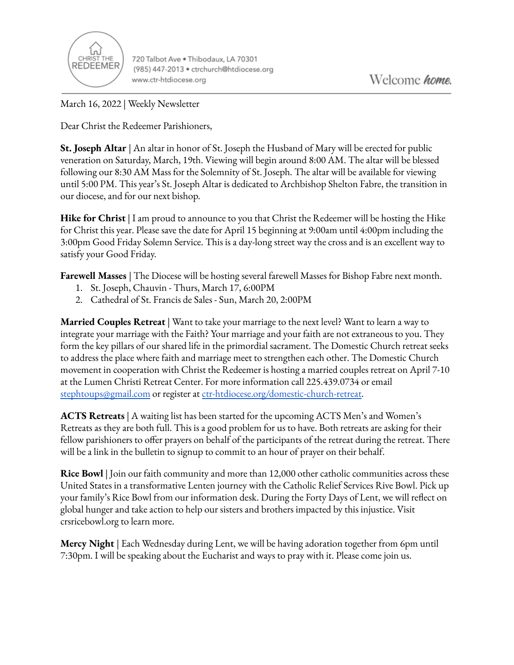

720 Talbot Ave . Thibodaux, LA 70301 (985) 447-2013 · ctrchurch@htdiocese.org www.ctr-htdiocese.org

March 16, 2022 | Weekly Newsletter

Dear Christ the Redeemer Parishioners,

**St. Joseph Altar** | An altar in honor of St. Joseph the Husband of Mary will be erected for public veneration on Saturday, March, 19th. Viewing will begin around 8:00 AM. The altar will be blessed following our 8:30 AM Mass for the Solemnity of St. Joseph. The altar will be available for viewing until 5:00 PM. This year's St. Joseph Altar is dedicated to Archbishop Shelton Fabre, the transition in our diocese, and for our next bishop.

**Hike for Christ** | I am proud to announce to you that Christ the Redeemer will be hosting the Hike for Christ this year. Please save the date for April 15 beginning at 9:00am until 4:00pm including the 3:00pm Good Friday Solemn Service. This is a day-long street way the cross and is an excellent way to satisfy your Good Friday.

**Farewell Masses** | The Diocese will be hosting several farewell Masses for Bishop Fabre next month.

- 1. St. Joseph, Chauvin Thurs, March 17, 6:00PM
- 2. Cathedral of St. Francis de Sales Sun, March 20, 2:00PM

**Married Couples Retreat** | Want to take your marriage to the next level? Want to learn a way to integrate your marriage with the Faith? Your marriage and your faith are not extraneous to you. They form the key pillars of our shared life in the primordial sacrament. The Domestic Church retreat seeks to address the place where faith and marriage meet to strengthen each other. The Domestic Church movement in cooperation with Christ the Redeemer is hosting a married couples retreat on April 7-10 at the Lumen Christi Retreat Center. For more information call 225.439.0734 or email [stephtoups@gmail.com](mailto:stephtoups@gmail.com) or register at [ctr-htdiocese.org/domestic-church-retreat.](https://www.ctr-htdiocese.org/domestic-church-retreat)

**ACTS Retreats** | A waiting list has been started for the upcoming ACTS Men's and Women's Retreats as they are both full. This is a good problem for us to have. Both retreats are asking for their fellow parishioners to offer prayers on behalf of the participants of the retreat during the retreat. There will be a link in the bulletin to signup to commit to an hour of prayer on their behalf.

**Rice Bowl** | Join our faith community and more than 12,000 other catholic communities across these United States in a transformative Lenten journey with the Catholic Relief Services Rive Bowl. Pick up your family's Rice Bowl from our information desk. During the Forty Days of Lent, we will reflect on global hunger and take action to help our sisters and brothers impacted by this injustice. Visit crsricebowl.org to learn more.

**Mercy Night** | Each Wednesday during Lent, we will be having adoration together from 6pm until 7:30pm. I will be speaking about the Eucharist and ways to pray with it. Please come join us.